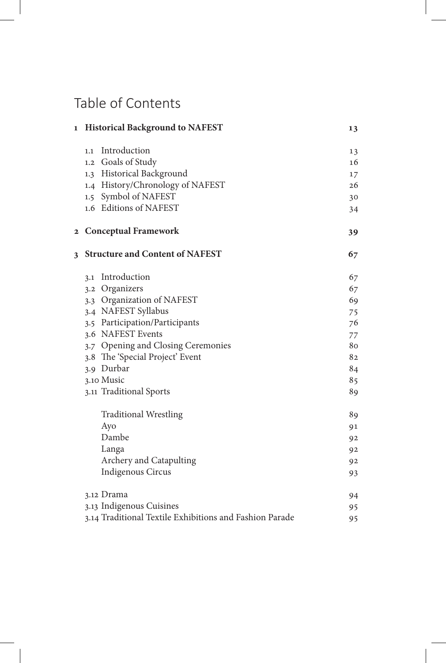## Table of Contents

| $\mathbf{1}$ | <b>Historical Background to NAFEST</b>                  | 13 |
|--------------|---------------------------------------------------------|----|
|              | Introduction<br>1.1                                     | 13 |
|              | 1.2 Goals of Study                                      | 16 |
|              | 1.3 Historical Background                               | 17 |
|              | 1.4 History/Chronology of NAFEST                        | 26 |
|              | 1.5 Symbol of NAFEST                                    | 30 |
|              | 1.6 Editions of NAFEST                                  | 34 |
|              | 2 Conceptual Framework                                  | 39 |
| 3            | <b>Structure and Content of NAFEST</b>                  | 67 |
|              | 3.1 Introduction                                        | 67 |
|              | 3.2 Organizers                                          | 67 |
|              | 3.3 Organization of NAFEST                              | 69 |
|              | 3.4 NAFEST Syllabus                                     | 75 |
|              | 3.5 Participation/Participants                          | 76 |
|              | 3.6 NAFEST Events                                       | 77 |
|              | 3.7 Opening and Closing Ceremonies                      | 80 |
|              | 3.8 The 'Special Project' Event                         | 82 |
|              | 3.9 Durbar                                              | 84 |
|              | 3.10 Music                                              | 85 |
|              | 3.11 Traditional Sports                                 | 89 |
|              | <b>Traditional Wrestling</b>                            | 89 |
|              | Ayo                                                     | 91 |
|              | Dambe                                                   | 92 |
|              | Langa                                                   | 92 |
|              | Archery and Catapulting                                 | 92 |
|              | Indigenous Circus                                       | 93 |
|              | 3.12 Drama                                              | 94 |
|              | 3.13 Indigenous Cuisines                                | 95 |
|              | 3.14 Traditional Textile Exhibitions and Fashion Parade | 95 |